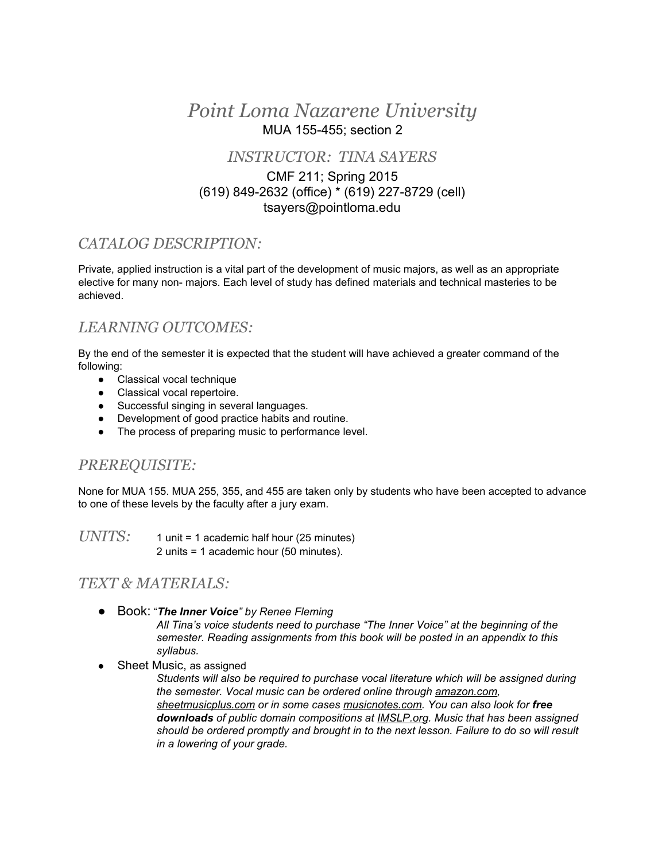## *Point Loma Nazarene University* MUA 155455; section 2

#### *INSTRUCTOR: TINA SAYERS*

#### CMF 211; Spring 2015 (619) 849-2632 (office) \* (619) 227-8729 (cell) tsayers@pointloma.edu

## *CATALOG DESCRIPTION:*

Private, applied instruction is a vital part of the development of music majors, as well as an appropriate elective for many non- majors. Each level of study has defined materials and technical masteries to be achieved.

## *LEARNING OUTCOMES:*

By the end of the semester it is expected that the student will have achieved a greater command of the following:

- Classical vocal technique
- Classical vocal repertoire.
- Successful singing in several languages.
- Development of good practice habits and routine.
- The process of preparing music to performance level.

### *PREREQUISITE:*

None for MUA 155. MUA 255, 355, and 455 are taken only by students who have been accepted to advance to one of these levels by the faculty after a jury exam.

*UNITS*: 1 unit = 1 academic half hour (25 minutes) 2 units = 1 academic hour (50 minutes).

### *TEXT & MATERIALS:*

- Book: "*The Inner Voice" by Renee Fleming All Tina's voice students need to purchase "The Inner Voice" at the beginning of the semester. Reading assignments from this book will be posted in an appendix to this syllabus.*
- **Sheet Music, as assigned**

*Students will also be required to purchase vocal literature which will be assigned during the semester. Vocal music can be ordered online through amazon.com, sheetmusicplus.com or in some cases musicnotes.com. You can also look for free downloads of public domain compositions at IMSLP.org. Music that has been assigned should be ordered promptly and brought in to the next lesson. Failure to do so will result in a lowering of your grade.*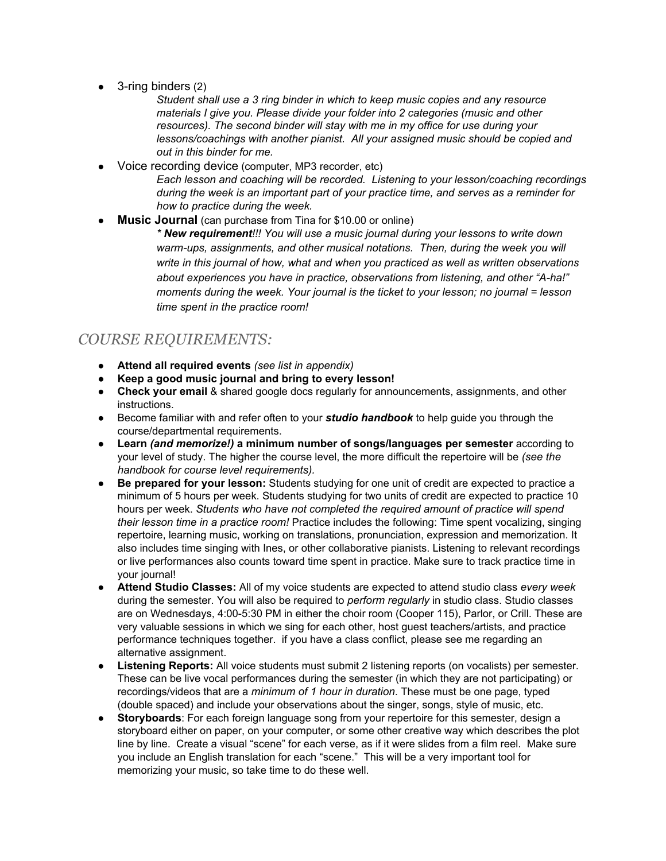3-ring binders (2)

*Student shall use a 3 ring binder in which to keep music copies and any resource materials I give you. Please divide your folder into 2 categories (music and other resources). The second binder will stay with me in my office for use during your lessons/coachings with another pianist. All your assigned music should be copied and out in this binder for me.*

- Voice recording device (computer, MP3 recorder, etc) *Each lesson and coaching will be recorded. Listening to your lesson/coaching recordings during the week is an important part of your practice time, and serves as a reminder for how to practice during the week.*
- **Music Journal** (can purchase from Tina for \$10.00 or online)

*\* New requirement!!! You will use a music journal during your lessons to write down warmups, assignments, and other musical notations. Then, during the week you will write in this journal of how, what and when you practiced as well as written observations about experiences you have in practice, observations from listening, and other "Aha!" moments during the week. Your journal is the ticket to your lesson; no journal = lesson time spent in the practice room!*

## *COURSE REQUIREMENTS:*

- **Attend all required events** *(see list in appendix)*
- **● Keep a good music journal and bring to every lesson!**
- **Check your email**& shared google docs regularly for announcements, assignments, and other instructions.
- Become familiar with and refer often to your **studio handbook** to help guide you through the course/departmental requirements.
- **Learn** *(and memorize!)* **a minimum number of songs/languages per semester**according to your level of study. The higher the course level, the more difficult the repertoire will be *(see the handbook for course level requirements).*
- **Be prepared for your lesson:**Students studying for one unit of credit are expected to practice a minimum of 5 hours per week. Students studying for two units of credit are expected to practice 10 hours per week. *Students who have not completed the required amount of practice will spend their lesson time in a practice room!* Practice includes the following: Time spent vocalizing, singing repertoire, learning music, working on translations, pronunciation, expression and memorization. It also includes time singing with Ines, or other collaborative pianists. Listening to relevant recordings or live performances also counts toward time spent in practice. Make sure to track practice time in your journal!
- **Attend Studio Classes:**All of my voice students are expected to attend studio class *every week* during the semester. You will also be required to *perform regularly* in studio class. Studio classes are on Wednesdays, 4:00-5:30 PM in either the choir room (Cooper 115), Parlor, or Crill. These are very valuable sessions in which we sing for each other, host guest teachers/artists, and practice performance techniques together. if you have a class conflict, please see me regarding an alternative assignment.
- **Listening Reports:** All voice students must submit 2 listening reports (on vocalists) per semester. These can be live vocal performances during the semester (in which they are not participating) or recordings/videos that are a *minimum of 1 hour in duration*. These must be one page, typed (double spaced) and include your observations about the singer, songs, style of music, etc.
- **Storyboards**: For each foreign language song from your repertoire for this semester, design a storyboard either on paper, on your computer, or some other creative way which describes the plot line by line. Create a visual "scene" for each verse, as if it were slides from a film reel. Make sure you include an English translation for each "scene." This will be a very important tool for memorizing your music, so take time to do these well.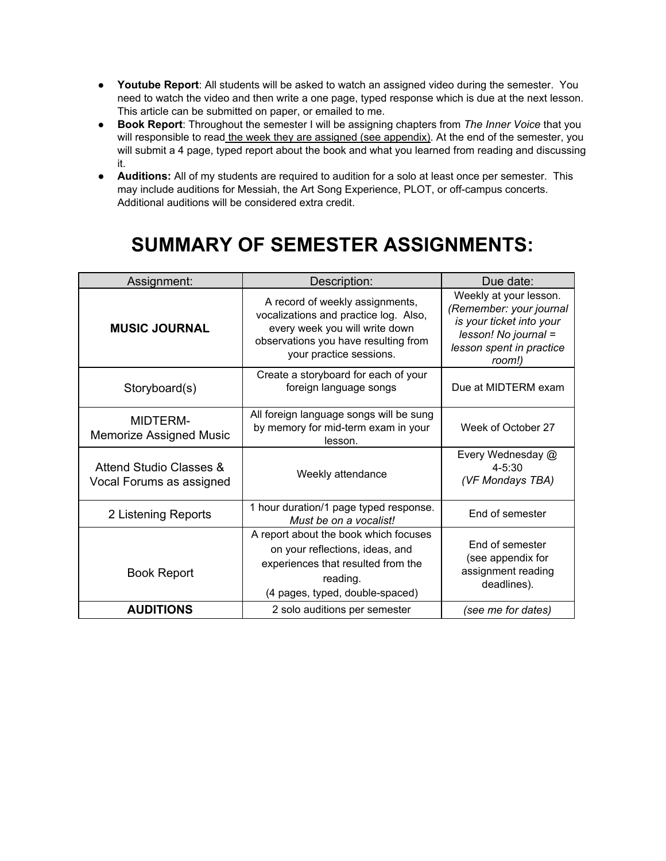- **Youtube Report**: All students will be asked to watch an assigned video during the semester. You need to watch the video and then write a one page, typed response which is due at the next lesson. This article can be submitted on paper, or emailed to me.
- **Book Report**: Throughout the semester I will be assigning chapters from *The Inner Voice* that you will responsible to read the week they are assigned (see appendix). At the end of the semester, you will submit a 4 page, typed report about the book and what you learned from reading and discussing it.
- **● Auditions:** All of my students are required to audition for a solo at least once per semester. This may include auditions for Messiah, the Art Song Experience, PLOT, or off-campus concerts. Additional auditions will be considered extra credit.

# **SUMMARY OF SEMESTER ASSIGNMENTS:**

| Assignment:                                         | Description:                                                                                                                                                                  | Due date:                                                                                                                                   |
|-----------------------------------------------------|-------------------------------------------------------------------------------------------------------------------------------------------------------------------------------|---------------------------------------------------------------------------------------------------------------------------------------------|
| <b>MUSIC JOURNAL</b>                                | A record of weekly assignments,<br>vocalizations and practice log. Also,<br>every week you will write down<br>observations you have resulting from<br>your practice sessions. | Weekly at your lesson.<br>(Remember: your journal<br>is your ticket into your<br>lesson! No journal =<br>lesson spent in practice<br>room!) |
| Storyboard(s)                                       | Create a storyboard for each of your<br>foreign language songs                                                                                                                | Due at MIDTERM exam                                                                                                                         |
| <b>MIDTERM-</b><br><b>Memorize Assigned Music</b>   | All foreign language songs will be sung<br>by memory for mid-term exam in your<br>lesson.                                                                                     | Week of October 27                                                                                                                          |
| Attend Studio Classes &<br>Vocal Forums as assigned | Weekly attendance                                                                                                                                                             | Every Wednesday @<br>$4 - 5:30$<br>(VF Mondays TBA)                                                                                         |
| 2 Listening Reports                                 | 1 hour duration/1 page typed response.<br>Must be on a vocalist!                                                                                                              | End of semester                                                                                                                             |
| <b>Book Report</b>                                  | A report about the book which focuses<br>on your reflections, ideas, and<br>experiences that resulted from the<br>reading.<br>(4 pages, typed, double-spaced)                 | End of semester<br>(see appendix for<br>assignment reading<br>deadlines).                                                                   |
| <b>AUDITIONS</b>                                    | 2 solo auditions per semester                                                                                                                                                 | (see me for dates)                                                                                                                          |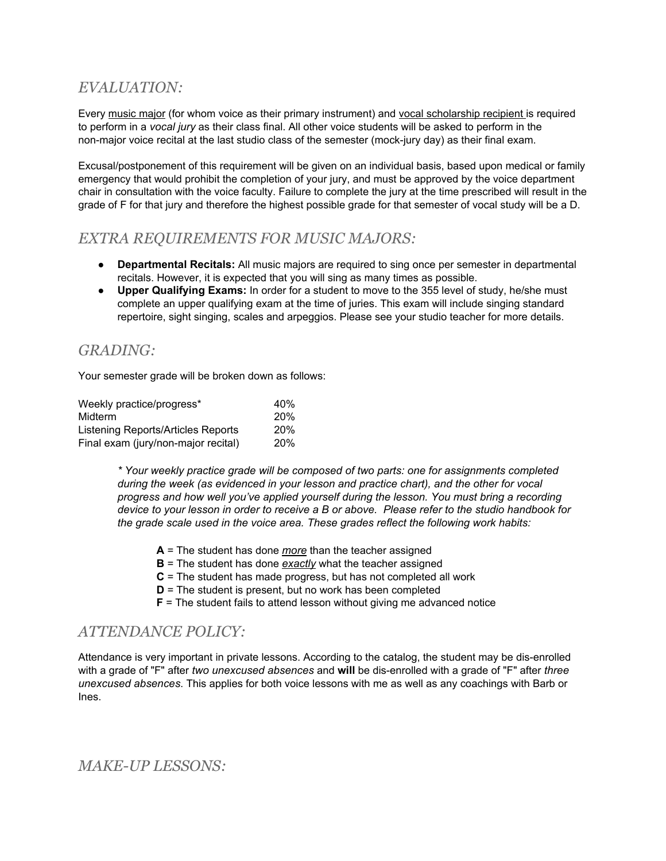## *EVALUATION:*

Every music major (for whom voice as their primary instrument) and vocal scholarship recipient is required to perform in a *vocal jury* as their class final. All other voice students will be asked to perform in the non-major voice recital at the last studio class of the semester (mock-jury day) as their final exam.

Excusal/postponement of this requirement will be given on an individual basis, based upon medical or family emergency that would prohibit the completion of your jury, and must be approved by the voice department chair in consultation with the voice faculty. Failure to complete the jury at the time prescribed will result in the grade of F for that jury and therefore the highest possible grade for that semester of vocal study will be a D.

#### *EXTRA REQUIREMENTS FOR MUSIC MAJORS:*

- **Departmental Recitals:**All music majors are required to sing once per semester in departmental recitals. However, it is expected that you will sing as many times as possible.
- **Upper Qualifying Exams:**In order for a student to move to the 355 level of study, he/she must complete an upper qualifying exam at the time of juries. This exam will include singing standard repertoire, sight singing, scales and arpeggios. Please see your studio teacher for more details.

### *GRADING:*

Your semester grade will be broken down as follows:

| Weekly practice/progress*                 | 40% |
|-------------------------------------------|-----|
| Midterm                                   | 20% |
| <b>Listening Reports/Articles Reports</b> | 20% |
| Final exam (jury/non-major recital)       | 20% |

*\* Your weekly practice grade will be composed of two parts: one for assignments completed during the week (as evidenced in your lesson and practice chart), and the other for vocal progress and how well you've applied yourself during the lesson. You must bring a recording* device to your lesson in order to receive a B or above. Please refer to the studio handbook for *the grade scale used in the voice area. These grades reflect the following work habits:*

- **A**= The student has done *more* than the teacher assigned
- **B**= The student has done *exactly* what the teacher assigned
- **C**= The student has made progress, but has not completed all work
- **D** = The student is present, but no work has been completed
- **F** = The student fails to attend lesson without giving me advanced notice

#### *ATTENDANCE POLICY:*

Attendance is very important in private lessons. According to the catalog, the student may be dis-enrolled with a grade of "F" after *two unexcused absences* and **will**be disenrolled with a grade of "F" after *three unexcused absences*. This applies for both voice lessons with me as well as any coachings with Barb or Ines.

#### *MAKE-UP LESSONS:*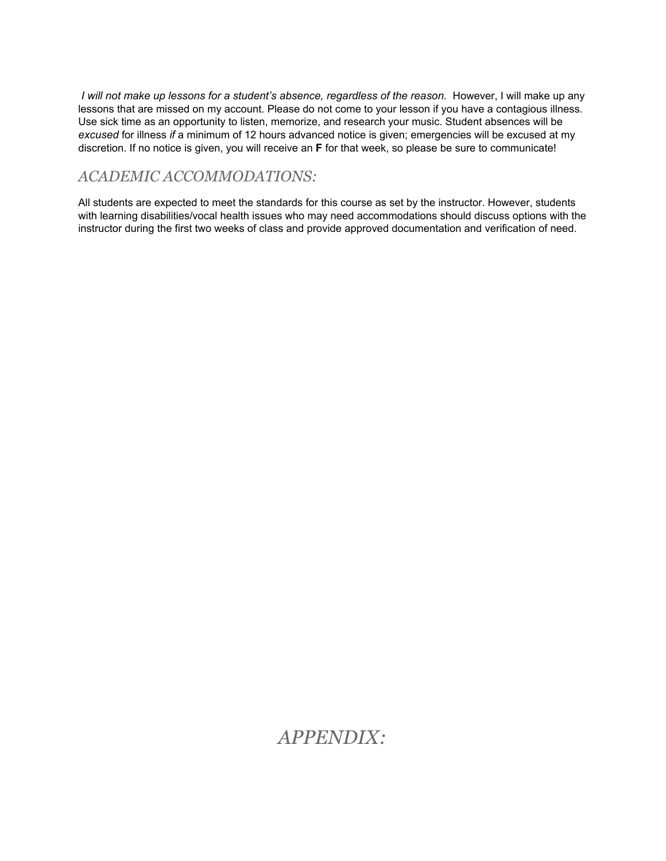*I will not make up lessons for a student's absence, regardless of the reason.* However, I will make up any lessons that are missed on my account. Please do not come to your lesson if you have a contagious illness. Use sick time as an opportunity to listen, memorize, and research your music. Student absences will be *excused* for illness *if* a minimum of 12 hours advanced notice is given; emergencies will be excused at my discretion. If no notice is given, you will receive an **F**for that week, so please be sure to communicate!

## *ACADEMIC ACCOMMODATIONS:*

All students are expected to meet the standards for this course as set by the instructor. However, students with learning disabilities/vocal health issues who may need accommodations should discuss options with the instructor during the first two weeks of class and provide approved documentation and verification of need.

## *APPENDIX:*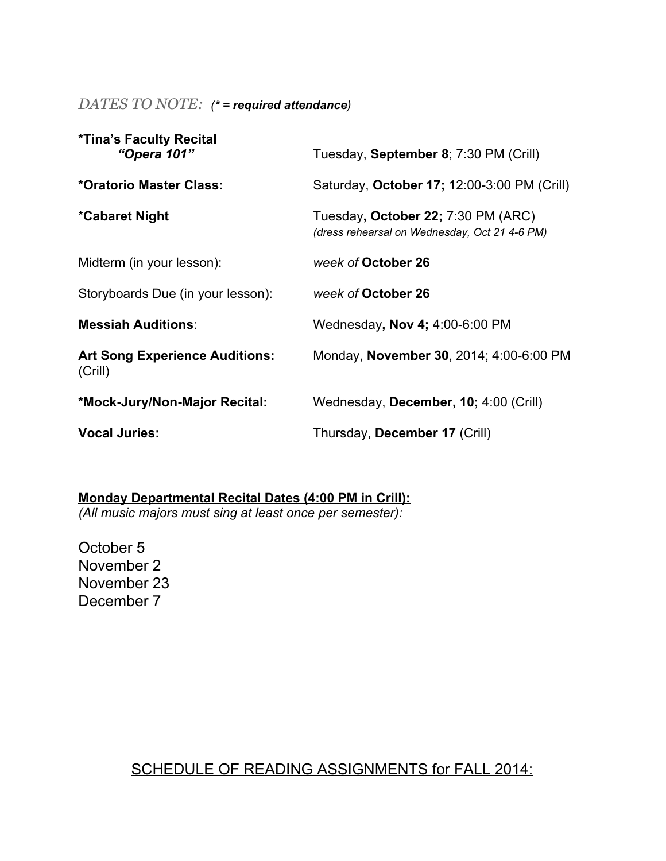*DATES TO NOTE: (\* = required attendance)*

| <b>*Tina's Faculty Recital</b><br>"Opera 101"    | Tuesday, September 8; 7:30 PM (Crill)                                               |
|--------------------------------------------------|-------------------------------------------------------------------------------------|
| *Oratorio Master Class:                          | Saturday, October 17; 12:00-3:00 PM (Crill)                                         |
| *Cabaret Night                                   | Tuesday, October 22; 7:30 PM (ARC)<br>(dress rehearsal on Wednesday, Oct 21 4-6 PM) |
| Midterm (in your lesson):                        | week of October 26                                                                  |
| Storyboards Due (in your lesson):                | week of October 26                                                                  |
| <b>Messiah Auditions:</b>                        | Wednesday, Nov 4; 4:00-6:00 PM                                                      |
| <b>Art Song Experience Auditions:</b><br>(Crill) | Monday, November 30, 2014; 4:00-6:00 PM                                             |
| *Mock-Jury/Non-Major Recital:                    | Wednesday, December, 10; 4:00 (Crill)                                               |
| <b>Vocal Juries:</b>                             | Thursday, December 17 (Crill)                                                       |

**Monday Departmental Recital Dates (4:00 PM in Crill):**

*(All music majors must sing at least once per semester):*

October 5 November 2 November 23 December 7

## SCHEDULE OF READING ASSIGNMENTS for FALL 2014: